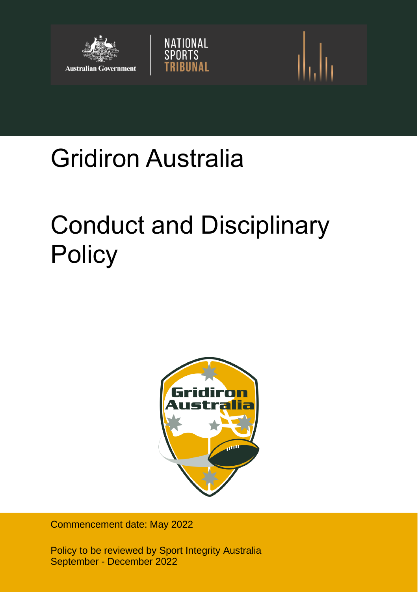

# Gridiron Australia

# Conduct and Disciplinary **Policy**

NATIONAL<br>SPORTS

**BUNAL** 



Commencement date: May 2022

Policy to be reviewed by Sport Integrity Australia September - December 2022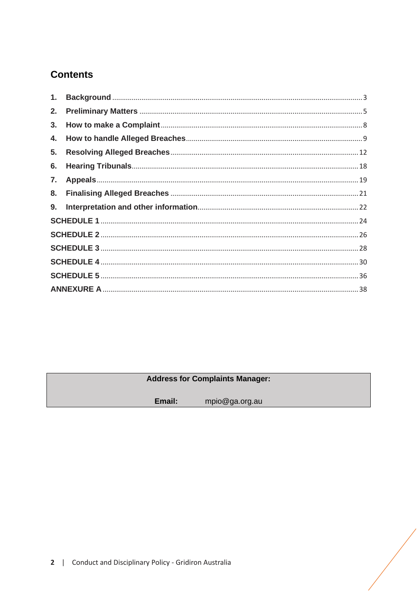# **Contents**

| 2. |  |  |  |
|----|--|--|--|
| 3. |  |  |  |
| 4. |  |  |  |
| 5. |  |  |  |
| 6. |  |  |  |
| 7. |  |  |  |
| 8. |  |  |  |
|    |  |  |  |
|    |  |  |  |
|    |  |  |  |
|    |  |  |  |
|    |  |  |  |
|    |  |  |  |
|    |  |  |  |

# **Address for Complaints Manager:**

mpio@ga.org.au Email: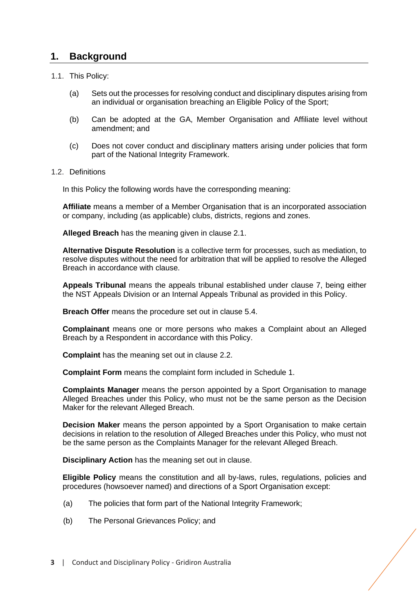# <span id="page-2-0"></span>**1. Background**

# 1.1. This Policy:

- (a) Sets out the processes for resolving conduct and disciplinary disputes arising from an individual or organisation breaching an Eligible Policy of the Sport;
- (b) Can be adopted at the GA, Member Organisation and Affiliate level without amendment; and
- (c) Does not cover conduct and disciplinary matters arising under policies that form part of the National Integrity Framework.

#### 1.2. Definitions

In this Policy the following words have the corresponding meaning:

**Affiliate** means a member of a Member Organisation that is an incorporated association or company, including (as applicable) clubs, districts, regions and zones.

**Alleged Breach** has the meaning given in clause [2.1.](#page-4-1)

**Alternative Dispute Resolution** is a collective term for processes, such as mediation, to resolve disputes without the need for arbitration that will be applied to resolve the Alleged Breach in accordance with clause.

**Appeals Tribunal** means the appeals tribunal established under clause [7,](#page-18-0) being either the NST Appeals Division or an Internal Appeals Tribunal as provided in this Policy.

**Breach Offer** means the procedure set out in clause [5.4.](#page-14-0)

**Complainant** means one or more persons who makes a Complaint about an Alleged Breach by a Respondent in accordance with this Policy.

**Complaint** has the meaning set out in clause [2.2.](#page-4-2)

**Complaint Form** means the complaint form included in Schedule 1.

**Complaints Manager** means the person appointed by a Sport Organisation to manage Alleged Breaches under this Policy, who must not be the same person as the Decision Maker for the relevant Alleged Breach.

**Decision Maker** means the person appointed by a Sport Organisation to make certain decisions in relation to the resolution of Alleged Breaches under this Policy, who must not be the same person as the Complaints Manager for the relevant Alleged Breach.

**Disciplinary Action** has the meaning set out in clause.

**Eligible Policy** means the constitution and all by-laws, rules, regulations, policies and procedures (howsoever named) and directions of a Sport Organisation except:

- (a) The policies that form part of the National Integrity Framework;
- (b) The Personal Grievances Policy; and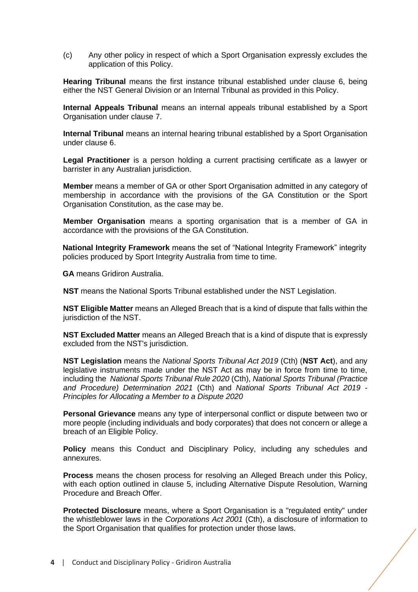(c) Any other policy in respect of which a Sport Organisation expressly excludes the application of this Policy.

**Hearing Tribunal** means the first instance tribunal established under clause [6,](#page-17-0) being either the NST General Division or an Internal Tribunal as provided in this Policy.

**Internal Appeals Tribunal** means an internal appeals tribunal established by a Sport Organisation under clause [7.](#page-18-0)

**Internal Tribunal** means an internal hearing tribunal established by a Sport Organisation under clause [6.](#page-17-0)

**Legal Practitioner** is a person holding a current practising certificate as a lawyer or barrister in any Australian jurisdiction.

**Member** means a member of GA or other Sport Organisation admitted in any category of membership in accordance with the provisions of the GA Constitution or the Sport Organisation Constitution, as the case may be.

**Member Organisation** means a sporting organisation that is a member of GA in accordance with the provisions of the GA Constitution.

**National Integrity Framework** means the set of "National Integrity Framework" integrity policies produced by Sport Integrity Australia from time to time.

**GA** means Gridiron Australia.

**NST** means the National Sports Tribunal established under the NST Legislation.

**NST Eligible Matter** means an Alleged Breach that is a kind of dispute that falls within the jurisdiction of the NST.

**NST Excluded Matter** means an Alleged Breach that is a kind of dispute that is expressly excluded from the NST's jurisdiction.

**NST Legislation** means the *National Sports Tribunal Act 2019* (Cth) (**NST Act**), and any legislative instruments made under the NST Act as may be in force from time to time, including the *National Sports Tribunal Rule 2020* (Cth), *National Sports Tribunal (Practice and Procedure) Determination 2021* (Cth) and *National Sports Tribunal Act 2019 - Principles for Allocating a Member to a Dispute 2020*

**Personal Grievance** means any type of interpersonal conflict or dispute between two or more people (including individuals and body corporates) that does not concern or allege a breach of an Eligible Policy.

**Policy** means this Conduct and Disciplinary Policy, including any schedules and annexures.

**Process** means the chosen process for resolving an Alleged Breach under this Policy, with each option outlined in clause [5,](#page-11-0) including Alternative Dispute Resolution, Warning Procedure and Breach Offer.

**Protected Disclosure** means, where a Sport Organisation is a "regulated entity" under the whistleblower laws in the *Corporations Act 2001* (Cth), a disclosure of information to the Sport Organisation that qualifies for protection under those laws.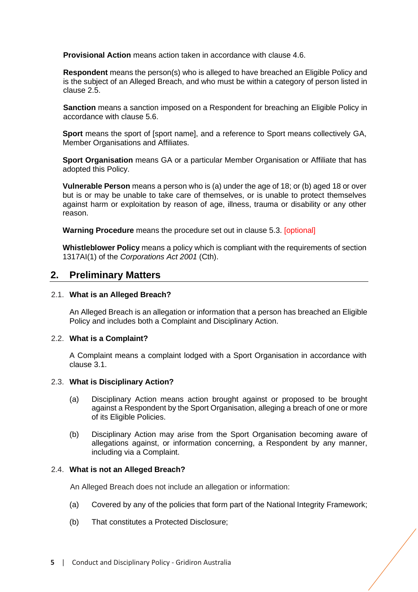**Provisional Action** means action taken in accordance with clause [4.6.](#page-10-0)

**Respondent** means the person(s) who is alleged to have breached an Eligible Policy and is the subject of an Alleged Breach, and who must be within a category of person listed in clause [2.5.](#page-5-0)

**Sanction** means a sanction imposed on a Respondent for breaching an Eligible Policy in accordance with clause [5.6.](#page-16-0)

**Sport** means the sport of [sport name], and a reference to Sport means collectively GA, Member Organisations and Affiliates.

**Sport Organisation** means GA or a particular Member Organisation or Affiliate that has adopted this Policy.

**Vulnerable Person** means a person who is (a) under the age of 18; or (b) aged 18 or over but is or may be unable to take care of themselves, or is unable to protect themselves against harm or exploitation by reason of age, illness, trauma or disability or any other reason.

**Warning Procedure** means the procedure set out in clause [5.3.](#page-13-0) [optional]

**Whistleblower Policy** means a policy which is compliant with the requirements of section 1317AI(1) of the *Corporations Act 2001* (Cth).

# <span id="page-4-0"></span>**2. Preliminary Matters**

#### <span id="page-4-1"></span>2.1. **What is an Alleged Breach?**

An Alleged Breach is an allegation or information that a person has breached an Eligible Policy and includes both a Complaint and Disciplinary Action.

#### <span id="page-4-2"></span>2.2. **What is a Complaint?**

A Complaint means a complaint lodged with a Sport Organisation in accordance with clause [3.1.](#page-7-1)

#### 2.3. **What is Disciplinary Action?**

- (a) Disciplinary Action means action brought against or proposed to be brought against a Respondent by the Sport Organisation, alleging a breach of one or more of its Eligible Policies.
- (b) Disciplinary Action may arise from the Sport Organisation becoming aware of allegations against, or information concerning, a Respondent by any manner, including via a Complaint.

#### <span id="page-4-3"></span>2.4. **What is not an Alleged Breach?**

An Alleged Breach does not include an allegation or information:

- (a) Covered by any of the policies that form part of the National Integrity Framework;
- (b) That constitutes a Protected Disclosure;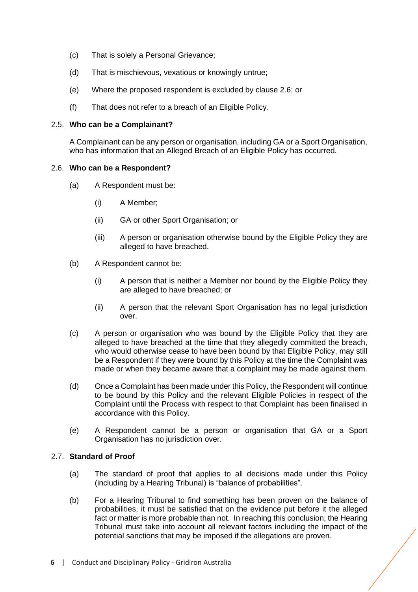- (c) That is solely a Personal Grievance;
- (d) That is mischievous, vexatious or knowingly untrue;
- (e) Where the proposed respondent is excluded by clause [2.6;](#page-5-1) or
- (f) That does not refer to a breach of an Eligible Policy.

#### <span id="page-5-0"></span>2.5. **Who can be a Complainant?**

A Complainant can be any person or organisation, including GA or a Sport Organisation, who has information that an Alleged Breach of an Eligible Policy has occurred.

#### <span id="page-5-1"></span>2.6. **Who can be a Respondent?**

- (a) A Respondent must be:
	- (i) A Member;
	- (ii) GA or other Sport Organisation; or
	- (iii) A person or organisation otherwise bound by the Eligible Policy they are alleged to have breached.
- (b) A Respondent cannot be:
	- (i) A person that is neither a Member nor bound by the Eligible Policy they are alleged to have breached; or
	- (ii) A person that the relevant Sport Organisation has no legal jurisdiction over.
- (c) A person or organisation who was bound by the Eligible Policy that they are alleged to have breached at the time that they allegedly committed the breach, who would otherwise cease to have been bound by that Eligible Policy, may still be a Respondent if they were bound by this Policy at the time the Complaint was made or when they became aware that a complaint may be made against them.
- (d) Once a Complaint has been made under this Policy, the Respondent will continue to be bound by this Policy and the relevant Eligible Policies in respect of the Complaint until the Process with respect to that Complaint has been finalised in accordance with this Policy.
- (e) A Respondent cannot be a person or organisation that GA or a Sport Organisation has no jurisdiction over.

# <span id="page-5-2"></span>2.7. **Standard of Proof**

- (a) The standard of proof that applies to all decisions made under this Policy (including by a Hearing Tribunal) is "balance of probabilities".
- (b) For a Hearing Tribunal to find something has been proven on the balance of probabilities, it must be satisfied that on the evidence put before it the alleged fact or matter is more probable than not. In reaching this conclusion, the Hearing Tribunal must take into account all relevant factors including the impact of the potential sanctions that may be imposed if the allegations are proven.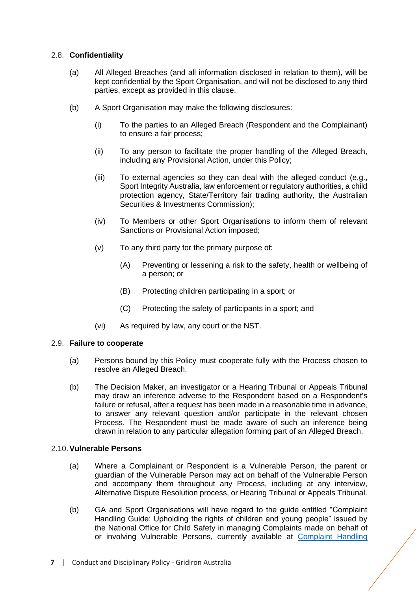### 2.8. **Confidentiality**

- (a) All Alleged Breaches (and all information disclosed in relation to them), will be kept confidential by the Sport Organisation, and will not be disclosed to any third parties, except as provided in this clause.
- (b) A Sport Organisation may make the following disclosures:
	- (i) To the parties to an Alleged Breach (Respondent and the Complainant) to ensure a fair process;
	- (ii) To any person to facilitate the proper handling of the Alleged Breach, including any Provisional Action, under this Policy;
	- (iii) To external agencies so they can deal with the alleged conduct (e.g., Sport Integrity Australia, law enforcement or regulatory authorities, a child protection agency, State/Territory fair trading authority, the Australian Securities & Investments Commission);
	- (iv) To Members or other Sport Organisations to inform them of relevant Sanctions or Provisional Action imposed;
	- (v) To any third party for the primary purpose of:
		- (A) Preventing or lessening a risk to the safety, health or wellbeing of a person; or
		- (B) Protecting children participating in a sport; or
		- (C) Protecting the safety of participants in a sport; and
	- (vi) As required by law, any court or the NST.

#### 2.9. **Failure to cooperate**

- (a) Persons bound by this Policy must cooperate fully with the Process chosen to resolve an Alleged Breach.
- (b) The Decision Maker, an investigator or a Hearing Tribunal or Appeals Tribunal may draw an inference adverse to the Respondent based on a Respondent's failure or refusal, after a request has been made in a reasonable time in advance, to answer any relevant question and/or participate in the relevant chosen Process. The Respondent must be made aware of such an inference being drawn in relation to any particular allegation forming part of an Alleged Breach.

#### 2.10.**Vulnerable Persons**

- (a) Where a Complainant or Respondent is a Vulnerable Person, the parent or guardian of the Vulnerable Person may act on behalf of the Vulnerable Person and accompany them throughout any Process, including at any interview, Alternative Dispute Resolution process, or Hearing Tribunal or Appeals Tribunal.
- (b) GA and Sport Organisations will have regard to the guide entitled "Complaint Handling Guide: Upholding the rights of children and young people" issued by the National Office for Child Safety in managing Complaints made on behalf of or involving Vulnerable Persons, currently available at [Complaint Handling](https://childsafety.pmc.gov.au/sites/default/files/2020-09/nocs-complaint-handling-guide.pdf)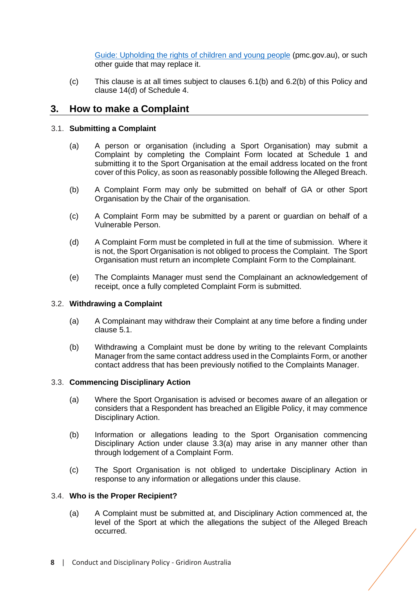[Guide: Upholding the rights of children and young people](https://childsafety.pmc.gov.au/sites/default/files/2020-09/nocs-complaint-handling-guide.pdf) (pmc.gov.au), or such other guide that may replace it.

(c) This clause is at all times subject to clauses [6.1](#page-17-1)[\(b\)](#page-17-2) and [6.2\(](#page-18-1)b) of this Policy and clause 14(d) of Schedule 4.

# <span id="page-7-0"></span>**3. How to make a Complaint**

# <span id="page-7-1"></span>3.1. **Submitting a Complaint**

- (a) A person or organisation (including a Sport Organisation) may submit a Complaint by completing the Complaint Form located at Schedule 1 and submitting it to the Sport Organisation at the email address located on the front cover of this Policy, as soon as reasonably possible following the Alleged Breach.
- (b) A Complaint Form may only be submitted on behalf of GA or other Sport Organisation by the Chair of the organisation.
- (c) A Complaint Form may be submitted by a parent or guardian on behalf of a Vulnerable Person.
- (d) A Complaint Form must be completed in full at the time of submission. Where it is not, the Sport Organisation is not obliged to process the Complaint. The Sport Organisation must return an incomplete Complaint Form to the Complainant.
- (e) The Complaints Manager must send the Complainant an acknowledgement of receipt, once a fully completed Complaint Form is submitted.

#### 3.2. **Withdrawing a Complaint**

- (a) A Complainant may withdraw their Complaint at any time before a finding under clause [5.1.](#page-11-1)
- (b) Withdrawing a Complaint must be done by writing to the relevant Complaints Manager from the same contact address used in the Complaints Form, or another contact address that has been previously notified to the Complaints Manager.

#### <span id="page-7-2"></span>3.3. **Commencing Disciplinary Action**

- (a) Where the Sport Organisation is advised or becomes aware of an allegation or considers that a Respondent has breached an Eligible Policy, it may commence Disciplinary Action.
- <span id="page-7-4"></span>(b) Information or allegations leading to the Sport Organisation commencing Disciplinary Action under clause [3.3\(](#page-7-2)a) may arise in any manner other than through lodgement of a Complaint Form.
- <span id="page-7-5"></span>(c) The Sport Organisation is not obliged to undertake Disciplinary Action in response to any information or allegations under this clause.

# <span id="page-7-3"></span>3.4. **Who is the Proper Recipient?**

(a) A Complaint must be submitted at, and Disciplinary Action commenced at, the level of the Sport at which the allegations the subject of the Alleged Breach occurred.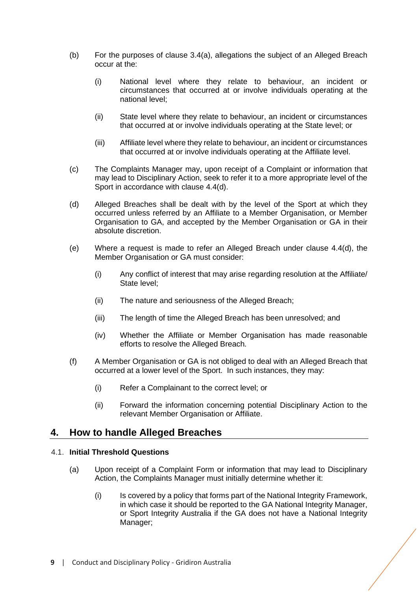- (b) For the purposes of clause [3.4\(](#page-7-3)a), allegations the subject of an Alleged Breach occur at the:
	- (i) National level where they relate to behaviour, an incident or circumstances that occurred at or involve individuals operating at the national level;
	- (ii) State level where they relate to behaviour, an incident or circumstances that occurred at or involve individuals operating at the State level; or
	- (iii) Affiliate level where they relate to behaviour, an incident or circumstances that occurred at or involve individuals operating at the Affiliate level.
- (c) The Complaints Manager may, upon receipt of a Complaint or information that may lead to Disciplinary Action, seek to refer it to a more appropriate level of the Sport in accordance with clause [4.4\(](#page-9-0)d).
- (d) Alleged Breaches shall be dealt with by the level of the Sport at which they occurred unless referred by an Affiliate to a Member Organisation, or Member Organisation to GA, and accepted by the Member Organisation or GA in their absolute discretion.
- (e) Where a request is made to refer an Alleged Breach under clause [4.4\(](#page-9-0)d), the Member Organisation or GA must consider:
	- (i) Any conflict of interest that may arise regarding resolution at the Affiliate/ State level;
	- (ii) The nature and seriousness of the Alleged Breach;
	- (iii) The length of time the Alleged Breach has been unresolved; and
	- (iv) Whether the Affiliate or Member Organisation has made reasonable efforts to resolve the Alleged Breach.
- (f) A Member Organisation or GA is not obliged to deal with an Alleged Breach that occurred at a lower level of the Sport. In such instances, they may:
	- (i) Refer a Complainant to the correct level; or
	- (ii) Forward the information concerning potential Disciplinary Action to the relevant Member Organisation or Affiliate.

# <span id="page-8-0"></span>**4. How to handle Alleged Breaches**

# <span id="page-8-1"></span>4.1. **Initial Threshold Questions**

- (a) Upon receipt of a Complaint Form or information that may lead to Disciplinary Action, the Complaints Manager must initially determine whether it:
	- (i) Is covered by a policy that forms part of the National Integrity Framework, in which case it should be reported to the GA National Integrity Manager, or Sport Integrity Australia if the GA does not have a National Integrity Manager;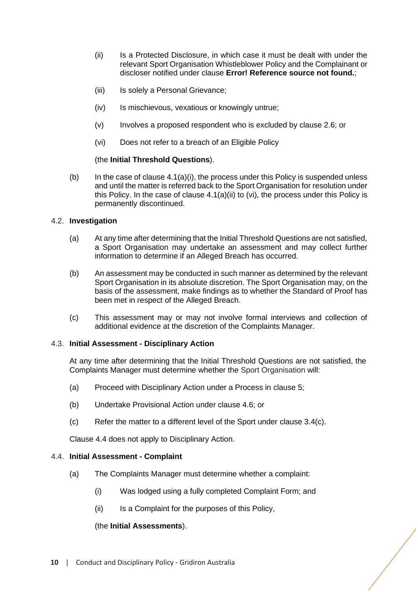- (ii) Is a Protected Disclosure, in which case it must be dealt with under the relevant Sport Organisation Whistleblower Policy and the Complainant or discloser notified under clause **Error! Reference source not found.**;
- (iii) Is solely a Personal Grievance:
- (iv) Is mischievous, vexatious or knowingly untrue;
- (v) Involves a proposed respondent who is excluded by clause [2.6;](#page-5-1) or
- (vi) Does not refer to a breach of an Eligible Policy

#### (the **Initial Threshold Questions**).

(b) In the case of clause  $4.1(a)(i)$ , the process under this Policy is suspended unless and until the matter is referred back to the Sport Organisation for resolution under this Policy. In the case of clause [4.1\(](#page-8-1)a)(ii) to (vi), the process under this Policy is permanently discontinued.

#### <span id="page-9-1"></span>4.2. **Investigation**

- (a) At any time after determining that the Initial Threshold Questions are not satisfied, a Sport Organisation may undertake an assessment and may collect further information to determine if an Alleged Breach has occurred.
- (b) An assessment may be conducted in such manner as determined by the relevant Sport Organisation in its absolute discretion. The Sport Organisation may, on the basis of the assessment, make findings as to whether the Standard of Proof has been met in respect of the Alleged Breach.
- (c) This assessment may or may not involve formal interviews and collection of additional evidence at the discretion of the Complaints Manager.

#### 4.3. **Initial Assessment - Disciplinary Action**

At any time after determining that the Initial Threshold Questions are not satisfied, the Complaints Manager must determine whether the Sport Organisation will:

- (a) Proceed with Disciplinary Action under a Process in clause [5;](#page-11-0)
- (b) Undertake Provisional Action under clause [4.6;](#page-10-0) or
- $(c)$  Refer the matter to a different level of the Sport under clause  $3.4(c)$ .

Clause [4.4](#page-9-0) does not apply to Disciplinary Action.

#### <span id="page-9-0"></span>4.4. **Initial Assessment - Complaint**

- (a) The Complaints Manager must determine whether a complaint:
	- (i) Was lodged using a fully completed Complaint Form; and
	- (ii) Is a Complaint for the purposes of this Policy,

# (the **Initial Assessments**).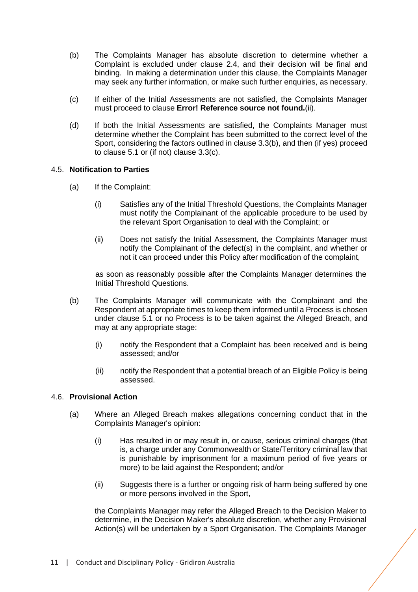- (b) The Complaints Manager has absolute discretion to determine whether a Complaint is excluded under clause [2.4,](#page-4-3) and their decision will be final and binding. In making a determination under this clause, the Complaints Manager may seek any further information, or make such further enquiries, as necessary.
- (c) If either of the Initial Assessments are not satisfied, the Complaints Manager must proceed to clause **Error! Reference source not found.**[\(ii\).](#page-10-1)
- (d) If both the Initial Assessments are satisfied, the Complaints Manager must determine whether the Complaint has been submitted to the correct level of the Sport, considering the factors outlined in clause [3.3](#page-7-2)[\(b\),](#page-7-4) and then (if yes) proceed to clause [5.1](#page-11-1) or (if not) clause [3.3](#page-7-2)[\(c\).](#page-7-5)

#### 4.5. **Notification to Parties**

- <span id="page-10-1"></span>(a) If the Complaint:
	- (i) Satisfies any of the Initial Threshold Questions, the Complaints Manager must notify the Complainant of the applicable procedure to be used by the relevant Sport Organisation to deal with the Complaint; or
	- (ii) Does not satisfy the Initial Assessment, the Complaints Manager must notify the Complainant of the defect(s) in the complaint, and whether or not it can proceed under this Policy after modification of the complaint,

as soon as reasonably possible after the Complaints Manager determines the Initial Threshold Questions.

- (b) The Complaints Manager will communicate with the Complainant and the Respondent at appropriate times to keep them informed until a Process is chosen under clause [5.1](#page-11-1) or no Process is to be taken against the Alleged Breach, and may at any appropriate stage:
	- (i) notify the Respondent that a Complaint has been received and is being assessed; and/or
	- (ii) notify the Respondent that a potential breach of an Eligible Policy is being assessed.

#### <span id="page-10-0"></span>4.6. **Provisional Action**

- (a) Where an Alleged Breach makes allegations concerning conduct that in the Complaints Manager's opinion:
	- (i) Has resulted in or may result in, or cause, serious criminal charges (that is, a charge under any Commonwealth or State/Territory criminal law that is punishable by imprisonment for a maximum period of five years or more) to be laid against the Respondent; and/or
	- (ii) Suggests there is a further or ongoing risk of harm being suffered by one or more persons involved in the Sport,

the Complaints Manager may refer the Alleged Breach to the Decision Maker to determine, in the Decision Maker's absolute discretion, whether any Provisional Action(s) will be undertaken by a Sport Organisation. The Complaints Manager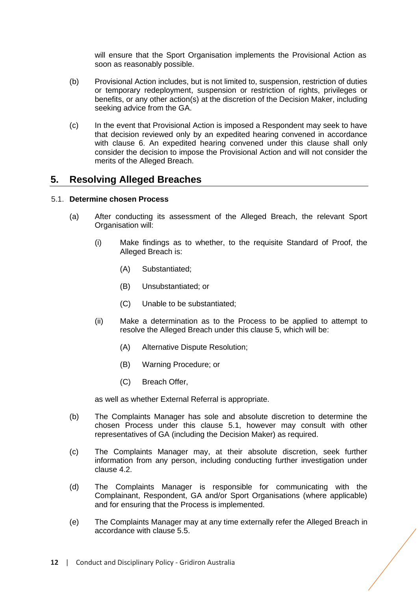will ensure that the Sport Organisation implements the Provisional Action as soon as reasonably possible.

- (b) Provisional Action includes, but is not limited to, suspension, restriction of duties or temporary redeployment, suspension or restriction of rights, privileges or benefits, or any other action(s) at the discretion of the Decision Maker, including seeking advice from the GA.
- (c) In the event that Provisional Action is imposed a Respondent may seek to have that decision reviewed only by an expedited hearing convened in accordance with clause 6. An expedited hearing convened under this clause shall only consider the decision to impose the Provisional Action and will not consider the merits of the Alleged Breach.

# <span id="page-11-0"></span>**5. Resolving Alleged Breaches**

#### <span id="page-11-1"></span>5.1. **Determine chosen Process**

- (a) After conducting its assessment of the Alleged Breach, the relevant Sport Organisation will:
	- (i) Make findings as to whether, to the requisite Standard of Proof, the Alleged Breach is:
		- (A) Substantiated;
		- (B) Unsubstantiated; or
		- (C) Unable to be substantiated;
	- (ii) Make a determination as to the Process to be applied to attempt to resolve the Alleged Breach under this clause [5,](#page-11-0) which will be:
		- (A) Alternative Dispute Resolution;
		- (B) Warning Procedure; or
		- (C) Breach Offer,

as well as whether External Referral is appropriate.

- (b) The Complaints Manager has sole and absolute discretion to determine the chosen Process under this clause [5.1,](#page-11-1) however may consult with other representatives of GA (including the Decision Maker) as required.
- (c) The Complaints Manager may, at their absolute discretion, seek further information from any person, including conducting further investigation under clause [4.2.](#page-9-1)
- (d) The Complaints Manager is responsible for communicating with the Complainant, Respondent, GA and/or Sport Organisations (where applicable) and for ensuring that the Process is implemented.
- (e) The Complaints Manager may at any time externally refer the Alleged Breach in accordance with clause [5.5.](#page-16-1)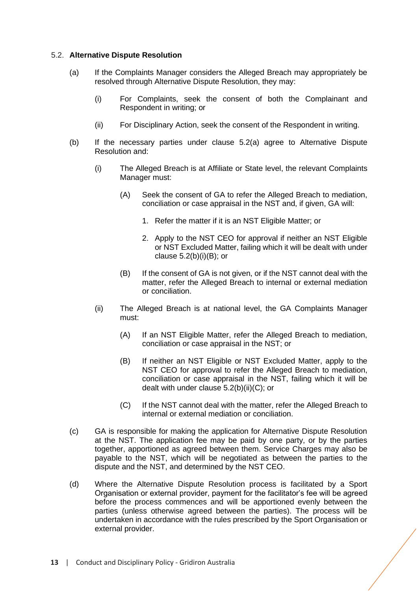#### <span id="page-12-1"></span><span id="page-12-0"></span>5.2. **Alternative Dispute Resolution**

- (a) If the Complaints Manager considers the Alleged Breach may appropriately be resolved through Alternative Dispute Resolution, they may:
	- (i) For Complaints, seek the consent of both the Complainant and Respondent in writing; or
	- (ii) For Disciplinary Action, seek the consent of the Respondent in writing.
- <span id="page-12-2"></span>(b) If the necessary parties under clause [5.2](#page-12-0)[\(a\)](#page-12-1) agree to Alternative Dispute Resolution and:
	- (i) The Alleged Breach is at Affiliate or State level, the relevant Complaints Manager must:
		- (A) Seek the consent of GA to refer the Alleged Breach to mediation, conciliation or case appraisal in the NST and, if given, GA will:
			- 1. Refer the matter if it is an NST Eligible Matter; or
			- 2. Apply to the NST CEO for approval if neither an NST Eligible or NST Excluded Matter, failing which it will be dealt with under clause  $5.2(b)(i)(B)$ ; or
		- (B) If the consent of GA is not given, or if the NST cannot deal with the matter, refer the Alleged Breach to internal or external mediation or conciliation.
	- (ii) The Alleged Breach is at national level, the GA Complaints Manager must:
		- (A) If an NST Eligible Matter, refer the Alleged Breach to mediation, conciliation or case appraisal in the NST; or
		- (B) If neither an NST Eligible or NST Excluded Matter, apply to the NST CEO for approval to refer the Alleged Breach to mediation, conciliation or case appraisal in the NST, failing which it will be dealt with under clause [5.2\(](#page-12-0)b)(ii)(C); or
		- (C) If the NST cannot deal with the matter, refer the Alleged Breach to internal or external mediation or conciliation.
- (c) GA is responsible for making the application for Alternative Dispute Resolution at the NST. The application fee may be paid by one party, or by the parties together, apportioned as agreed between them. Service Charges may also be payable to the NST, which will be negotiated as between the parties to the dispute and the NST, and determined by the NST CEO.
- (d) Where the Alternative Dispute Resolution process is facilitated by a Sport Organisation or external provider, payment for the facilitator's fee will be agreed before the process commences and will be apportioned evenly between the parties (unless otherwise agreed between the parties). The process will be undertaken in accordance with the rules prescribed by the Sport Organisation or external provider.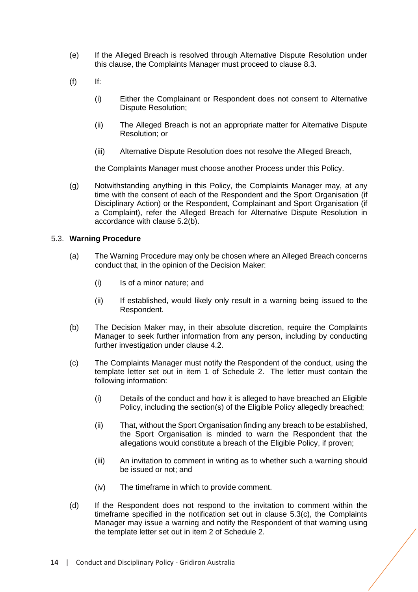- (e) If the Alleged Breach is resolved through Alternative Dispute Resolution under this clause, the Complaints Manager must proceed to clause [8.3.](#page-21-1)
- (f) If:
	- (i) Either the Complainant or Respondent does not consent to Alternative Dispute Resolution;
	- (ii) The Alleged Breach is not an appropriate matter for Alternative Dispute Resolution; or
	- (iii) Alternative Dispute Resolution does not resolve the Alleged Breach,

the Complaints Manager must choose another Process under this Policy.

(g) Notwithstanding anything in this Policy, the Complaints Manager may, at any time with the consent of each of the Respondent and the Sport Organisation (if Disciplinary Action) or the Respondent, Complainant and Sport Organisation (if a Complaint), refer the Alleged Breach for Alternative Dispute Resolution in accordance with clause [5.2](#page-12-0)[\(b\).](#page-12-2)

#### <span id="page-13-0"></span>5.3. **Warning Procedure**

- (a) The Warning Procedure may only be chosen where an Alleged Breach concerns conduct that, in the opinion of the Decision Maker:
	- (i) Is of a minor nature; and
	- (ii) If established, would likely only result in a warning being issued to the Respondent.
- (b) The Decision Maker may, in their absolute discretion, require the Complaints Manager to seek further information from any person, including by conducting further investigation under clause [4.2.](#page-9-1)
- (c) The Complaints Manager must notify the Respondent of the conduct, using the template letter set out in item 1 of Schedule 2. The letter must contain the following information:
	- (i) Details of the conduct and how it is alleged to have breached an Eligible Policy, including the section(s) of the Eligible Policy allegedly breached;
	- (ii) That, without the Sport Organisation finding any breach to be established, the Sport Organisation is minded to warn the Respondent that the allegations would constitute a breach of the Eligible Policy, if proven;
	- (iii) An invitation to comment in writing as to whether such a warning should be issued or not; and
	- (iv) The timeframe in which to provide comment.
- (d) If the Respondent does not respond to the invitation to comment within the timeframe specified in the notification set out in clause 5.3(c), the Complaints Manager may issue a warning and notify the Respondent of that warning using the template letter set out in item 2 of Schedule 2.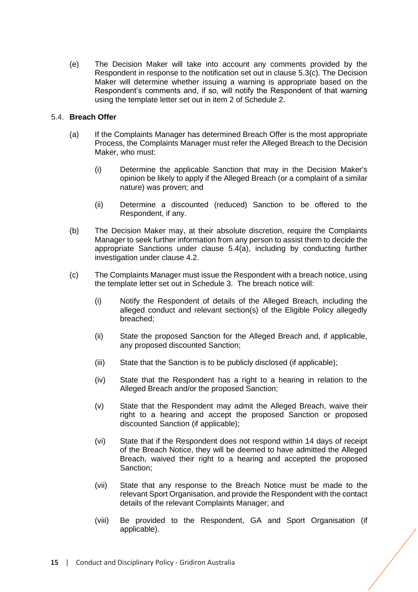(e) The Decision Maker will take into account any comments provided by the Respondent in response to the notification set out in clause 5.3(c). The Decision Maker will determine whether issuing a warning is appropriate based on the Respondent's comments and, if so, will notify the Respondent of that warning using the template letter set out in item 2 of Schedule 2.

#### <span id="page-14-1"></span><span id="page-14-0"></span>5.4. **Breach Offer**

- (a) If the Complaints Manager has determined Breach Offer is the most appropriate Process, the Complaints Manager must refer the Alleged Breach to the Decision Maker, who must:
	- (i) Determine the applicable Sanction that may in the Decision Maker's opinion be likely to apply if the Alleged Breach (or a complaint of a similar nature) was proven; and
	- (ii) Determine a discounted (reduced) Sanction to be offered to the Respondent, if any.
- (b) The Decision Maker may, at their absolute discretion, require the Complaints Manager to seek further information from any person to assist them to decide the appropriate Sanctions under clause [5.4](#page-14-0)[\(a\),](#page-14-1) including by conducting further investigation under clause [4.2.](#page-9-1)
- (c) The Complaints Manager must issue the Respondent with a breach notice, using the template letter set out in Schedule 3. The breach notice will:
	- (i) Notify the Respondent of details of the Alleged Breach, including the alleged conduct and relevant section(s) of the Eligible Policy allegedly breached;
	- (ii) State the proposed Sanction for the Alleged Breach and, if applicable, any proposed discounted Sanction;
	- (iii) State that the Sanction is to be publicly disclosed (if applicable);
	- (iv) State that the Respondent has a right to a hearing in relation to the Alleged Breach and/or the proposed Sanction;
	- (v) State that the Respondent may admit the Alleged Breach, waive their right to a hearing and accept the proposed Sanction or proposed discounted Sanction (if applicable);
	- (vi) State that if the Respondent does not respond within 14 days of receipt of the Breach Notice, they will be deemed to have admitted the Alleged Breach, waived their right to a hearing and accepted the proposed Sanction;
	- (vii) State that any response to the Breach Notice must be made to the relevant Sport Organisation, and provide the Respondent with the contact details of the relevant Complaints Manager; and
	- (viii) Be provided to the Respondent, GA and Sport Organisation (if applicable).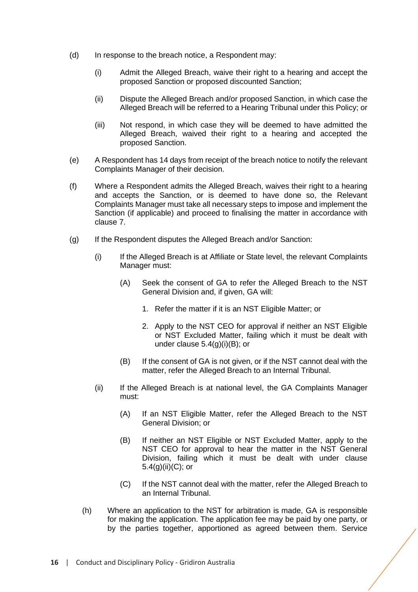- (d) In response to the breach notice, a Respondent may:
	- (i) Admit the Alleged Breach, waive their right to a hearing and accept the proposed Sanction or proposed discounted Sanction;
	- (ii) Dispute the Alleged Breach and/or proposed Sanction, in which case the Alleged Breach will be referred to a Hearing Tribunal under this Policy; or
	- (iii) Not respond, in which case they will be deemed to have admitted the Alleged Breach, waived their right to a hearing and accepted the proposed Sanction.
- (e) A Respondent has 14 days from receipt of the breach notice to notify the relevant Complaints Manager of their decision.
- (f) Where a Respondent admits the Alleged Breach, waives their right to a hearing and accepts the Sanction, or is deemed to have done so, the Relevant Complaints Manager must take all necessary steps to impose and implement the Sanction (if applicable) and proceed to finalising the matter in accordance with clause [7.](#page-18-0)
- (g) If the Respondent disputes the Alleged Breach and/or Sanction:
	- (i) If the Alleged Breach is at Affiliate or State level, the relevant Complaints Manager must:
		- (A) Seek the consent of GA to refer the Alleged Breach to the NST General Division and, if given, GA will:
			- 1. Refer the matter if it is an NST Eligible Matter; or
			- 2. Apply to the NST CEO for approval if neither an NST Eligible or NST Excluded Matter, failing which it must be dealt with under clause [5.4\(](#page-14-0)g)(i)(B); or
		- (B) If the consent of GA is not given, or if the NST cannot deal with the matter, refer the Alleged Breach to an Internal Tribunal.
	- (ii) If the Alleged Breach is at national level, the GA Complaints Manager must:
		- (A) If an NST Eligible Matter, refer the Alleged Breach to the NST General Division; or
		- (B) If neither an NST Eligible or NST Excluded Matter, apply to the NST CEO for approval to hear the matter in the NST General Division, failing which it must be dealt with under clause [5.4\(](#page-14-0)g)(ii)(C); or
		- (C) If the NST cannot deal with the matter, refer the Alleged Breach to an Internal Tribunal.
	- (h) Where an application to the NST for arbitration is made, GA is responsible for making the application. The application fee may be paid by one party, or by the parties together, apportioned as agreed between them. Service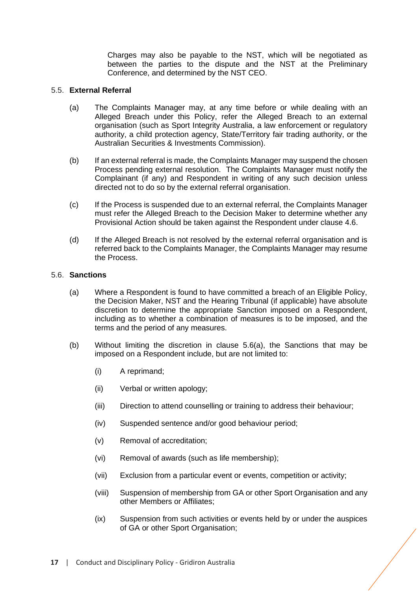Charges may also be payable to the NST, which will be negotiated as between the parties to the dispute and the NST at the Preliminary Conference, and determined by the NST CEO.

## <span id="page-16-1"></span>5.5. **External Referral**

- (a) The Complaints Manager may, at any time before or while dealing with an Alleged Breach under this Policy, refer the Alleged Breach to an external organisation (such as Sport Integrity Australia, a law enforcement or regulatory authority, a child protection agency, State/Territory fair trading authority, or the Australian Securities & Investments Commission).
- (b) If an external referral is made, the Complaints Manager may suspend the chosen Process pending external resolution. The Complaints Manager must notify the Complainant (if any) and Respondent in writing of any such decision unless directed not to do so by the external referral organisation.
- (c) If the Process is suspended due to an external referral, the Complaints Manager must refer the Alleged Breach to the Decision Maker to determine whether any Provisional Action should be taken against the Respondent under clause [4.6.](#page-10-0)
- (d) If the Alleged Breach is not resolved by the external referral organisation and is referred back to the Complaints Manager, the Complaints Manager may resume the Process.

#### <span id="page-16-0"></span>5.6. **Sanctions**

- (a) Where a Respondent is found to have committed a breach of an Eligible Policy, the Decision Maker, NST and the Hearing Tribunal (if applicable) have absolute discretion to determine the appropriate Sanction imposed on a Respondent, including as to whether a combination of measures is to be imposed, and the terms and the period of any measures.
- (b) Without limiting the discretion in clause [5.6\(](#page-16-0)a), the Sanctions that may be imposed on a Respondent include, but are not limited to:
	- (i) A reprimand;
	- (ii) Verbal or written apology;
	- (iii) Direction to attend counselling or training to address their behaviour;
	- (iv) Suspended sentence and/or good behaviour period;
	- (v) Removal of accreditation;
	- (vi) Removal of awards (such as life membership);
	- (vii) Exclusion from a particular event or events, competition or activity;
	- (viii) Suspension of membership from GA or other Sport Organisation and any other Members or Affiliates;
	- (ix) Suspension from such activities or events held by or under the auspices of GA or other Sport Organisation: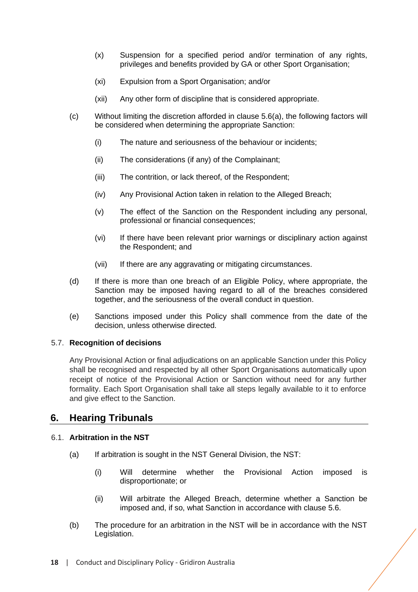- (x) Suspension for a specified period and/or termination of any rights, privileges and benefits provided by GA or other Sport Organisation;
- (xi) Expulsion from a Sport Organisation; and/or
- (xii) Any other form of discipline that is considered appropriate.
- (c) Without limiting the discretion afforded in clause [5.6\(](#page-16-0)a), the following factors will be considered when determining the appropriate Sanction:
	- (i) The nature and seriousness of the behaviour or incidents;
	- (ii) The considerations (if any) of the Complainant;
	- (iii) The contrition, or lack thereof, of the Respondent;
	- (iv) Any Provisional Action taken in relation to the Alleged Breach;
	- (v) The effect of the Sanction on the Respondent including any personal, professional or financial consequences;
	- (vi) If there have been relevant prior warnings or disciplinary action against the Respondent; and
	- (vii) If there are any aggravating or mitigating circumstances.
- (d) If there is more than one breach of an Eligible Policy, where appropriate, the Sanction may be imposed having regard to all of the breaches considered together, and the seriousness of the overall conduct in question.
- (e) Sanctions imposed under this Policy shall commence from the date of the decision, unless otherwise directed.

# 5.7. **Recognition of decisions**

Any Provisional Action or final adjudications on an applicable Sanction under this Policy shall be recognised and respected by all other Sport Organisations automatically upon receipt of notice of the Provisional Action or Sanction without need for any further formality. Each Sport Organisation shall take all steps legally available to it to enforce and give effect to the Sanction.

# <span id="page-17-0"></span>**6. Hearing Tribunals**

# <span id="page-17-1"></span>6.1. **Arbitration in the NST**

- (a) If arbitration is sought in the NST General Division, the NST:
	- (i) Will determine whether the Provisional Action imposed is disproportionate; or
	- (ii) Will arbitrate the Alleged Breach, determine whether a Sanction be imposed and, if so, what Sanction in accordance with clause [5.6.](#page-16-0)
- <span id="page-17-2"></span>(b) The procedure for an arbitration in the NST will be in accordance with the NST Legislation.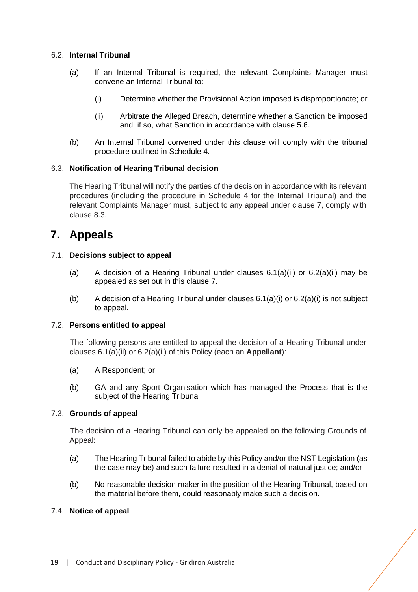### <span id="page-18-1"></span>6.2. **Internal Tribunal**

- (a) If an Internal Tribunal is required, the relevant Complaints Manager must convene an Internal Tribunal to:
	- (i) Determine whether the Provisional Action imposed is disproportionate; or
	- (ii) Arbitrate the Alleged Breach, determine whether a Sanction be imposed and, if so, what Sanction in accordance with clause [5.6.](#page-16-0)
- (b) An Internal Tribunal convened under this clause will comply with the tribunal procedure outlined in Schedule 4.

#### 6.3. **Notification of Hearing Tribunal decision**

The Hearing Tribunal will notify the parties of the decision in accordance with its relevant procedures (including the procedure in Schedule 4 for the Internal Tribunal) and the relevant Complaints Manager must, subject to any appeal under clause 7, comply with clause 8.3.

# <span id="page-18-0"></span>**7. Appeals**

#### 7.1. **Decisions subject to appeal**

- (a) A decision of a Hearing Tribunal under clauses  $6.1(a)(ii)$  or  $6.2(a)(ii)$  may be appealed as set out in this clause 7.
- (b) A decision of a Hearing Tribunal under clauses [6.1\(](#page-17-1)a)(i) or [6.2\(](#page-18-1)a)(i) is not subject to appeal.

#### 7.2. **Persons entitled to appeal**

The following persons are entitled to appeal the decision of a Hearing Tribunal under clauses [6.1\(](#page-17-1)a)(ii) or [6.2\(](#page-18-1)a)(ii) of this Policy (each an **Appellant**):

- (a) A Respondent; or
- (b) GA and any Sport Organisation which has managed the Process that is the subject of the Hearing Tribunal.

# <span id="page-18-3"></span>7.3. **Grounds of appeal**

The decision of a Hearing Tribunal can only be appealed on the following Grounds of Appeal:

- (a) The Hearing Tribunal failed to abide by this Policy and/or the NST Legislation (as the case may be) and such failure resulted in a denial of natural justice; and/or
- (b) No reasonable decision maker in the position of the Hearing Tribunal, based on the material before them, could reasonably make such a decision.

#### <span id="page-18-2"></span>7.4. **Notice of appeal**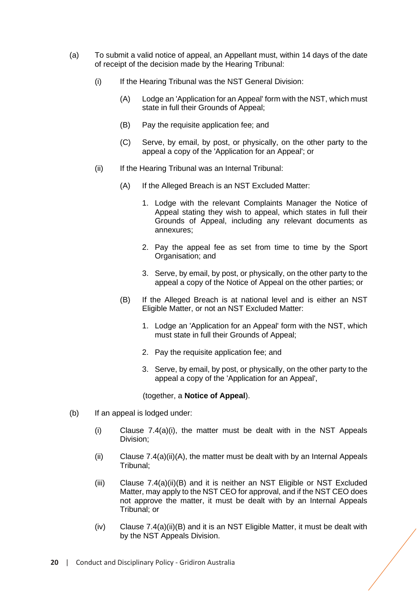- (a) To submit a valid notice of appeal, an Appellant must, within 14 days of the date of receipt of the decision made by the Hearing Tribunal:
	- (i) If the Hearing Tribunal was the NST General Division:
		- (A) Lodge an 'Application for an Appeal' form with the NST, which must state in full their Grounds of Appeal;
		- (B) Pay the requisite application fee; and
		- (C) Serve, by email, by post, or physically, on the other party to the appeal a copy of the 'Application for an Appeal'; or
	- (ii) If the Hearing Tribunal was an Internal Tribunal:
		- (A) If the Alleged Breach is an NST Excluded Matter:
			- 1. Lodge with the relevant Complaints Manager the Notice of Appeal stating they wish to appeal, which states in full their Grounds of Appeal, including any relevant documents as annexures;
			- 2. Pay the appeal fee as set from time to time by the Sport Organisation; and
			- 3. Serve, by email, by post, or physically, on the other party to the appeal a copy of the Notice of Appeal on the other parties; or
		- (B) If the Alleged Breach is at national level and is either an NST Eligible Matter, or not an NST Excluded Matter:
			- 1. Lodge an 'Application for an Appeal' form with the NST, which must state in full their Grounds of Appeal;
			- 2. Pay the requisite application fee; and
			- 3. Serve, by email, by post, or physically, on the other party to the appeal a copy of the 'Application for an Appeal',

#### (together, a **Notice of Appeal**).

- (b) If an appeal is lodged under:
	- (i) Clause [7.4\(](#page-18-2)a)(i), the matter must be dealt with in the NST Appeals Division;
	- $(i)$  Clause [7.4\(](#page-18-2)a)(ii)(A), the matter must be dealt with by an Internal Appeals Tribunal;
	- (iii) Clause [7.4\(](#page-18-2)a)(ii)(B) and it is neither an NST Eligible or NST Excluded Matter, may apply to the NST CEO for approval, and if the NST CEO does not approve the matter, it must be dealt with by an Internal Appeals Tribunal; or
	- $(iv)$  Clause [7.4\(](#page-18-2)a)(ii)(B) and it is an NST Eligible Matter, it must be dealt with by the NST Appeals Division.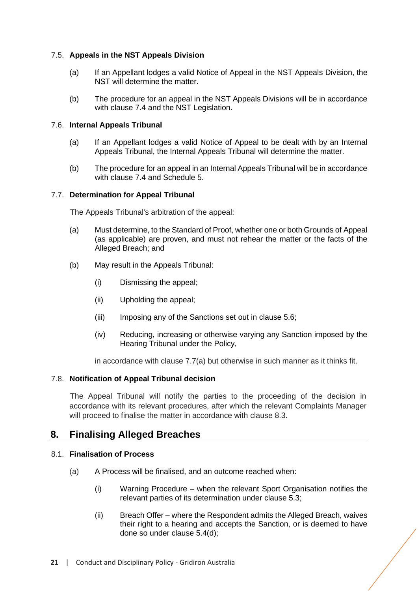## 7.5. **Appeals in the NST Appeals Division**

- (a) If an Appellant lodges a valid Notice of Appeal in the NST Appeals Division, the NST will determine the matter.
- (b) The procedure for an appeal in the NST Appeals Divisions will be in accordance with clause [7.4](#page-18-2) and the NST Legislation.

#### <span id="page-20-2"></span>7.6. **Internal Appeals Tribunal**

- (a) If an Appellant lodges a valid Notice of Appeal to be dealt with by an Internal Appeals Tribunal, the Internal Appeals Tribunal will determine the matter.
- (b) The procedure for an appeal in an Internal Appeals Tribunal will be in accordance with clause [7.4](#page-18-2) and Schedule 5.

#### <span id="page-20-1"></span>7.7. **Determination for Appeal Tribunal**

The Appeals Tribunal's arbitration of the appeal:

- (a) Must determine, to the Standard of Proof, whether one or both Grounds of Appeal (as applicable) are proven, and must not rehear the matter or the facts of the Alleged Breach; and
- (b) May result in the Appeals Tribunal:
	- (i) Dismissing the appeal;
	- (ii) Upholding the appeal;
	- (iii) Imposing any of the Sanctions set out in clause [5.6;](#page-16-0)
	- (iv) Reducing, increasing or otherwise varying any Sanction imposed by the Hearing Tribunal under the Policy,

in accordance with clause [7.7\(](#page-20-1)a) but otherwise in such manner as it thinks fit.

#### 7.8. **Notification of Appeal Tribunal decision**

The Appeal Tribunal will notify the parties to the proceeding of the decision in accordance with its relevant procedures, after which the relevant Complaints Manager will proceed to finalise the matter in accordance with clause [8.3.](#page-21-1)

# <span id="page-20-0"></span>**8. Finalising Alleged Breaches**

#### 8.1. **Finalisation of Process**

- (a) A Process will be finalised, and an outcome reached when:
	- (i) Warning Procedure when the relevant Sport Organisation notifies the relevant parties of its determination under clause [5.3;](#page-13-0)
	- (ii) Breach Offer where the Respondent admits the Alleged Breach, waives their right to a hearing and accepts the Sanction, or is deemed to have done so under clause [5.4\(](#page-14-0)d);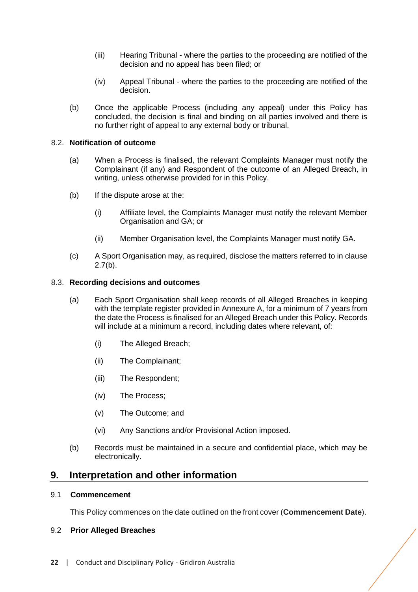- (iii) Hearing Tribunal where the parties to the proceeding are notified of the decision and no appeal has been filed; or
- (iv) Appeal Tribunal where the parties to the proceeding are notified of the decision.
- (b) Once the applicable Process (including any appeal) under this Policy has concluded, the decision is final and binding on all parties involved and there is no further right of appeal to any external body or tribunal.

# 8.2. **Notification of outcome**

- (a) When a Process is finalised, the relevant Complaints Manager must notify the Complainant (if any) and Respondent of the outcome of an Alleged Breach, in writing, unless otherwise provided for in this Policy.
- (b) If the dispute arose at the:
	- (i) Affiliate level, the Complaints Manager must notify the relevant Member Organisation and GA; or
	- (ii) Member Organisation level, the Complaints Manager must notify GA.
- (c) A Sport Organisation may, as required, disclose the matters referred to in clause  $2.7(b)$  $2.7(b)$ .

#### <span id="page-21-1"></span>8.3. **Recording decisions and outcomes**

- (a) Each Sport Organisation shall keep records of all Alleged Breaches in keeping with the template register provided in Annexure A, for a minimum of 7 years from the date the Process is finalised for an Alleged Breach under this Policy. Records will include at a minimum a record, including dates where relevant, of:
	- (i) The Alleged Breach;
	- (ii) The Complainant;
	- (iii) The Respondent;
	- (iv) The Process;
	- (v) The Outcome; and
	- (vi) Any Sanctions and/or Provisional Action imposed.
- (b) Records must be maintained in a secure and confidential place, which may be electronically.

# <span id="page-21-0"></span>**9. Interpretation and other information**

#### 9.1 **Commencement**

This Policy commences on the date outlined on the front cover (**Commencement Date**).

#### 9.2 **Prior Alleged Breaches**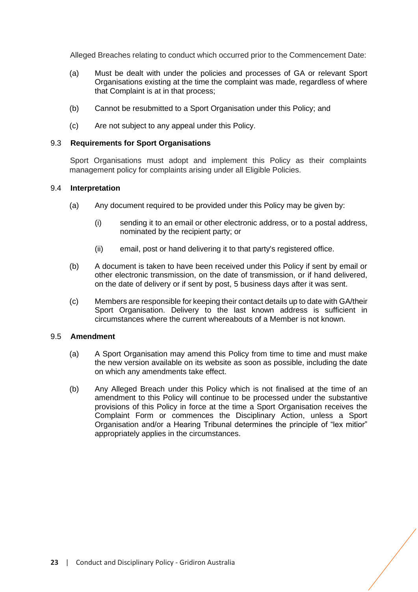Alleged Breaches relating to conduct which occurred prior to the Commencement Date:

- (a) Must be dealt with under the policies and processes of GA or relevant Sport Organisations existing at the time the complaint was made, regardless of where that Complaint is at in that process;
- (b) Cannot be resubmitted to a Sport Organisation under this Policy; and
- (c) Are not subject to any appeal under this Policy.

#### 9.3 **Requirements for Sport Organisations**

Sport Organisations must adopt and implement this Policy as their complaints management policy for complaints arising under all Eligible Policies.

#### 9.4 **Interpretation**

- (a) Any document required to be provided under this Policy may be given by:
	- (i) sending it to an email or other electronic address, or to a postal address, nominated by the recipient party; or
	- (ii) email, post or hand delivering it to that party's registered office.
- (b) A document is taken to have been received under this Policy if sent by email or other electronic transmission, on the date of transmission, or if hand delivered, on the date of delivery or if sent by post, 5 business days after it was sent.
- (c) Members are responsible for keeping their contact details up to date with GA/their Sport Organisation. Delivery to the last known address is sufficient in circumstances where the current whereabouts of a Member is not known.

#### 9.5 **Amendment**

- (a) A Sport Organisation may amend this Policy from time to time and must make the new version available on its website as soon as possible, including the date on which any amendments take effect.
- (b) Any Alleged Breach under this Policy which is not finalised at the time of an amendment to this Policy will continue to be processed under the substantive provisions of this Policy in force at the time a Sport Organisation receives the Complaint Form or commences the Disciplinary Action, unless a Sport Organisation and/or a Hearing Tribunal determines the principle of "lex mitior" appropriately applies in the circumstances.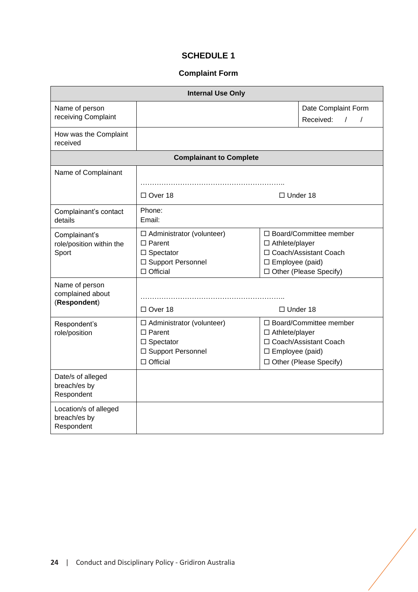# **SCHEDULE 1**

# **Complaint Form**

<span id="page-23-0"></span>

| <b>Internal Use Only</b>                            |                                                                                                               |                                                                                                                                            |  |  |  |  |  |  |
|-----------------------------------------------------|---------------------------------------------------------------------------------------------------------------|--------------------------------------------------------------------------------------------------------------------------------------------|--|--|--|--|--|--|
| Name of person<br>receiving Complaint               |                                                                                                               | Date Complaint Form<br>Received:<br>$\sqrt{1}$                                                                                             |  |  |  |  |  |  |
| How was the Complaint<br>received                   |                                                                                                               |                                                                                                                                            |  |  |  |  |  |  |
| <b>Complainant to Complete</b>                      |                                                                                                               |                                                                                                                                            |  |  |  |  |  |  |
| Name of Complainant                                 | $\Box$ Over 18<br>$\Box$ Under 18                                                                             |                                                                                                                                            |  |  |  |  |  |  |
| Complainant's contact<br>details                    | Phone:<br>Email:                                                                                              |                                                                                                                                            |  |  |  |  |  |  |
| Complainant's<br>role/position within the<br>Sport  | □ Administrator (volunteer)<br>$\Box$ Parent<br>$\square$ Spectator<br>□ Support Personnel<br>$\Box$ Official | □ Board/Committee member<br>$\Box$ Athlete/player<br>□ Coach/Assistant Coach<br>$\square$ Employee (paid)<br>$\Box$ Other (Please Specify) |  |  |  |  |  |  |
| Name of person<br>complained about<br>(Respondent)  | $\Box$ Over 18                                                                                                | $\Box$ Under 18                                                                                                                            |  |  |  |  |  |  |
| Respondent's<br>role/position                       | □ Administrator (volunteer)<br>$\Box$ Parent<br>$\square$ Spectator<br>□ Support Personnel<br>$\Box$ Official | □ Board/Committee member<br>$\Box$ Athlete/player<br>□ Coach/Assistant Coach<br>□ Employee (paid)<br>□ Other (Please Specify)              |  |  |  |  |  |  |
| Date/s of alleged<br>breach/es by<br>Respondent     |                                                                                                               |                                                                                                                                            |  |  |  |  |  |  |
| Location/s of alleged<br>breach/es by<br>Respondent |                                                                                                               |                                                                                                                                            |  |  |  |  |  |  |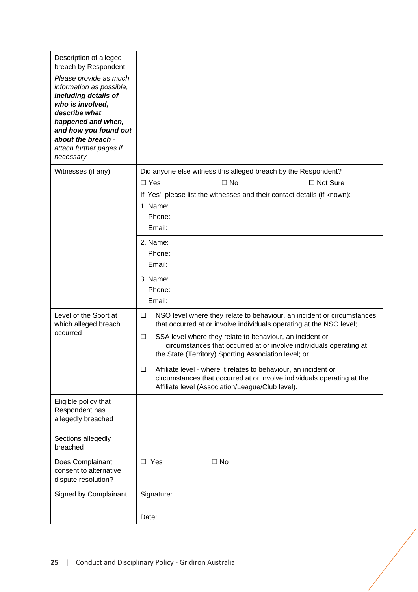| Description of alleged<br>breach by Respondent<br>Please provide as much<br>information as possible,<br>including details of<br>who is involved,<br>describe what<br>happened and when,<br>and how you found out<br>about the breach -<br>attach further pages if<br>necessary |                                                                                                                                                                                                                                                                                                                                                                                                                                                                                                                                                                   |
|--------------------------------------------------------------------------------------------------------------------------------------------------------------------------------------------------------------------------------------------------------------------------------|-------------------------------------------------------------------------------------------------------------------------------------------------------------------------------------------------------------------------------------------------------------------------------------------------------------------------------------------------------------------------------------------------------------------------------------------------------------------------------------------------------------------------------------------------------------------|
| Witnesses (if any)                                                                                                                                                                                                                                                             | Did anyone else witness this alleged breach by the Respondent?<br>$\square$ No<br>□ Not Sure<br>$\Box$ Yes<br>If 'Yes', please list the witnesses and their contact details (if known):<br>1. Name:<br>Phone:<br>Email:                                                                                                                                                                                                                                                                                                                                           |
|                                                                                                                                                                                                                                                                                | 2. Name:<br>Phone:<br>Email:                                                                                                                                                                                                                                                                                                                                                                                                                                                                                                                                      |
|                                                                                                                                                                                                                                                                                | 3. Name:<br>Phone:<br>Email:                                                                                                                                                                                                                                                                                                                                                                                                                                                                                                                                      |
| Level of the Sport at<br>which alleged breach<br>occurred                                                                                                                                                                                                                      | NSO level where they relate to behaviour, an incident or circumstances<br>$\Box$<br>that occurred at or involve individuals operating at the NSO level;<br>$\Box$<br>SSA level where they relate to behaviour, an incident or<br>circumstances that occurred at or involve individuals operating at<br>the State (Territory) Sporting Association level; or<br>Affiliate level - where it relates to behaviour, an incident or<br>□<br>circumstances that occurred at or involve individuals operating at the<br>Affiliate level (Association/League/Club level). |
| Eligible policy that<br>Respondent has<br>allegedly breached                                                                                                                                                                                                                   |                                                                                                                                                                                                                                                                                                                                                                                                                                                                                                                                                                   |
| Sections allegedly<br>breached                                                                                                                                                                                                                                                 |                                                                                                                                                                                                                                                                                                                                                                                                                                                                                                                                                                   |
| Does Complainant<br>consent to alternative<br>dispute resolution?                                                                                                                                                                                                              | $\square$ No<br>$\square$ Yes                                                                                                                                                                                                                                                                                                                                                                                                                                                                                                                                     |
| Signed by Complainant                                                                                                                                                                                                                                                          | Signature:                                                                                                                                                                                                                                                                                                                                                                                                                                                                                                                                                        |
|                                                                                                                                                                                                                                                                                | Date:                                                                                                                                                                                                                                                                                                                                                                                                                                                                                                                                                             |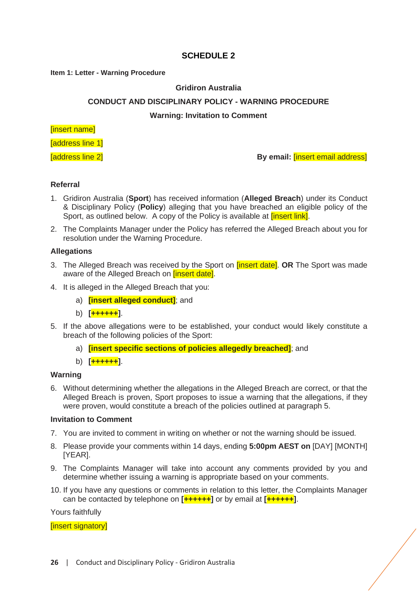# **SCHEDULE 2**

#### <span id="page-25-0"></span>**Item 1: Letter - Warning Procedure**

# **Gridiron Australia**

#### **CONDUCT AND DISCIPLINARY POLICY - WARNING PROCEDURE**

**Warning: Invitation to Comment**

#### [insert name]

**Taddress line 11** 

[address line 2] **By email:** [insert email address]

#### **Referral**

- 1. Gridiron Australia (**Sport**) has received information (**Alleged Breach**) under its Conduct & Disciplinary Policy (**Policy**) alleging that you have breached an eligible policy of the Sport, as outlined below. A copy of the Policy is available at *[insert link]*.
- 2. The Complaints Manager under the Policy has referred the Alleged Breach about you for resolution under the Warning Procedure.

#### **Allegations**

- 3. The Alleged Breach was received by the Sport on [insert date]. **OR** The Sport was made aware of the Alleged Breach on *[insert date]*.
- 4. It is alleged in the Alleged Breach that you:
	- a) **[insert alleged conduct]**; and
	- b) **[++++++]**.
- 5. If the above allegations were to be established, your conduct would likely constitute a breach of the following policies of the Sport:
	- a) **[insert specific sections of policies allegedly breached]**; and
	- b) **[++++++]**.

#### **Warning**

6. Without determining whether the allegations in the Alleged Breach are correct, or that the Alleged Breach is proven, Sport proposes to issue a warning that the allegations, if they were proven, would constitute a breach of the policies outlined at paragraph 5.

#### **Invitation to Comment**

- 7. You are invited to comment in writing on whether or not the warning should be issued.
- 8. Please provide your comments within 14 days, ending **5:00pm AEST on** [DAY] [MONTH] [YEAR].
- 9. The Complaints Manager will take into account any comments provided by you and determine whether issuing a warning is appropriate based on your comments.
- 10. If you have any questions or comments in relation to this letter, the Complaints Manager can be contacted by telephone on **[++++++]** or by email at **[++++++]**.

Yours faithfully

[insert signatory]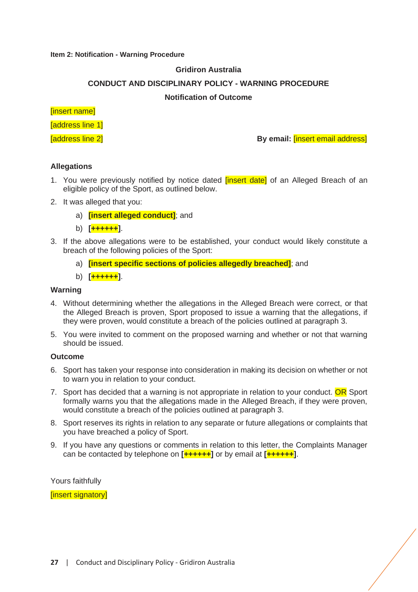#### **Item 2: Notification - Warning Procedure**

### **Gridiron Australia**

#### **CONDUCT AND DISCIPLINARY POLICY - WARNING PROCEDURE**

#### **Notification of Outcome**

#### [insert name]

[address line 1]

[address line 2] **By email:** [insert email address]

#### **Allegations**

- 1. You were previously notified by notice dated *[insert date]* of an Alleged Breach of an eligible policy of the Sport, as outlined below.
- 2. It was alleged that you:
	- a) **[insert alleged conduct]**; and
	- b) **[++++++]**.
- 3. If the above allegations were to be established, your conduct would likely constitute a breach of the following policies of the Sport:
	- a) **[insert specific sections of policies allegedly breached]**; and
	- b) **[++++++]**.

#### **Warning**

- 4. Without determining whether the allegations in the Alleged Breach were correct, or that the Alleged Breach is proven, Sport proposed to issue a warning that the allegations, if they were proven, would constitute a breach of the policies outlined at paragraph 3.
- 5. You were invited to comment on the proposed warning and whether or not that warning should be issued.

#### **Outcome**

- 6. Sport has taken your response into consideration in making its decision on whether or not to warn you in relation to your conduct.
- 7. Sport has decided that a warning is not appropriate in relation to your conduct. OR Sport formally warns you that the allegations made in the Alleged Breach, if they were proven, would constitute a breach of the policies outlined at paragraph 3.
- 8. Sport reserves its rights in relation to any separate or future allegations or complaints that you have breached a policy of Sport.
- 9. If you have any questions or comments in relation to this letter, the Complaints Manager can be contacted by telephone on **[++++++]** or by email at **[++++++]**.

Yours faithfully

[insert signatory]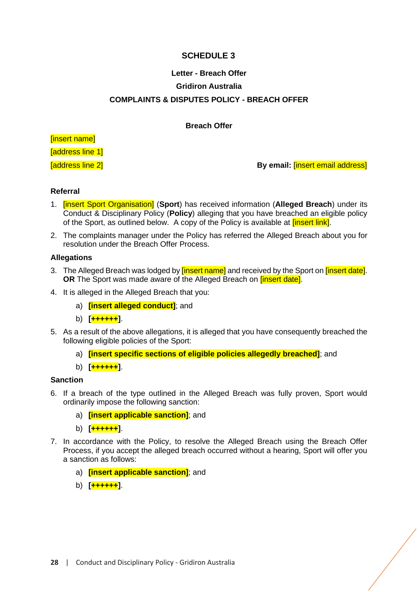# **SCHEDULE 3**

# <span id="page-27-0"></span>**Letter - Breach Offer Gridiron Australia COMPLAINTS & DISPUTES POLICY - BREACH OFFER**

# **Breach Offer**

[insert name]

**Taddress line 11** 

[address line 2] **By email:** [insert email address]

# **Referral**

- 1. [insert Sport Organisation] (**Sport**) has received information (**Alleged Breach**) under its Conduct & Disciplinary Policy (**Policy**) alleging that you have breached an eligible policy of the Sport, as outlined below. A copy of the Policy is available at *finsert link*.
- 2. The complaints manager under the Policy has referred the Alleged Breach about you for resolution under the Breach Offer Process.

#### **Allegations**

- 3. The Alleged Breach was lodged by *[insert name]* and received by the Sport on *[insert date]*. **OR** The Sport was made aware of the Alleged Breach on **[insert date]**.
- 4. It is alleged in the Alleged Breach that you:
	- a) **[insert alleged conduct]**; and
	- b) **[++++++]**.
- 5. As a result of the above allegations, it is alleged that you have consequently breached the following eligible policies of the Sport:
	- a) **[insert specific sections of eligible policies allegedly breached]**; and
	- b) **[++++++]**.

# **Sanction**

- 6. If a breach of the type outlined in the Alleged Breach was fully proven, Sport would ordinarily impose the following sanction:
	- a) **[insert applicable sanction]**; and
	- b) **[++++++]**.
- 7. In accordance with the Policy, to resolve the Alleged Breach using the Breach Offer Process, if you accept the alleged breach occurred without a hearing, Sport will offer you a sanction as follows:
	- a) **[insert applicable sanction]**; and
	- b) **[++++++]**.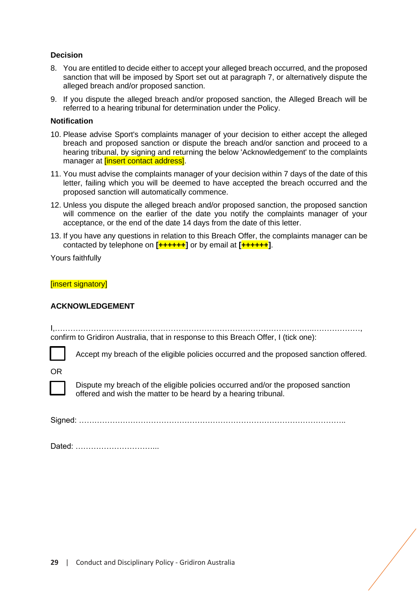# **Decision**

- 8. You are entitled to decide either to accept your alleged breach occurred, and the proposed sanction that will be imposed by Sport set out at paragraph 7, or alternatively dispute the alleged breach and/or proposed sanction.
- 9. If you dispute the alleged breach and/or proposed sanction, the Alleged Breach will be referred to a hearing tribunal for determination under the Policy.

#### **Notification**

- 10. Please advise Sport's complaints manager of your decision to either accept the alleged breach and proposed sanction or dispute the breach and/or sanction and proceed to a hearing tribunal, by signing and returning the below 'Acknowledgement' to the complaints manager at *[insert contact address]*.
- 11. You must advise the complaints manager of your decision within 7 days of the date of this letter, failing which you will be deemed to have accepted the breach occurred and the proposed sanction will automatically commence.
- 12. Unless you dispute the alleged breach and/or proposed sanction, the proposed sanction will commence on the earlier of the date you notify the complaints manager of your acceptance, or the end of the date 14 days from the date of this letter.
- 13. If you have any questions in relation to this Breach Offer, the complaints manager can be contacted by telephone on **[++++++]** or by email at **[++++++]**.

Yours faithfully

[insert signatory]

# **ACKNOWLEDGEMENT**

I,………………………………………………………………………………………..………………, confirm to Gridiron Australia, that in response to this Breach Offer, I (tick one):

Accept my breach of the eligible policies occurred and the proposed sanction offered.

OR



Dispute my breach of the eligible policies occurred and/or the proposed sanction offered and wish the matter to be heard by a hearing tribunal.

Signed: …………………………………………………………………………………………..

Dated: …………………………...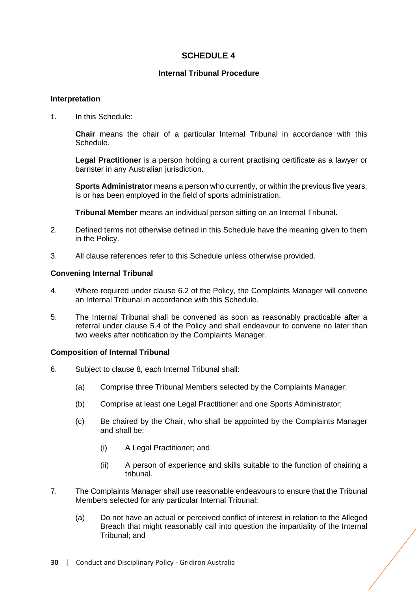# **SCHEDULE 4**

# **Internal Tribunal Procedure**

### <span id="page-29-0"></span>**Interpretation**

1. In this Schedule:

**Chair** means the chair of a particular Internal Tribunal in accordance with this Schedule.

**Legal Practitioner** is a person holding a current practising certificate as a lawyer or barrister in any Australian jurisdiction.

**Sports Administrator** means a person who currently, or within the previous five years, is or has been employed in the field of sports administration.

**Tribunal Member** means an individual person sitting on an Internal Tribunal.

- 2. Defined terms not otherwise defined in this Schedule have the meaning given to them in the Policy.
- 3. All clause references refer to this Schedule unless otherwise provided.

#### **Convening Internal Tribunal**

- 4. Where required under clause [6.2](#page-18-1) of the Policy, the Complaints Manager will convene an Internal Tribunal in accordance with this Schedule.
- 5. The Internal Tribunal shall be convened as soon as reasonably practicable after a referral under clause [5.4](#page-14-0) of the Policy and shall endeavour to convene no later than two weeks after notification by the Complaints Manager.

# **Composition of Internal Tribunal**

- 6. Subject to clause 8, each Internal Tribunal shall:
	- (a) Comprise three Tribunal Members selected by the Complaints Manager;
	- (b) Comprise at least one Legal Practitioner and one Sports Administrator;
	- (c) Be chaired by the Chair, who shall be appointed by the Complaints Manager and shall be:
		- (i) A Legal Practitioner; and
		- (ii) A person of experience and skills suitable to the function of chairing a tribunal.
- 7. The Complaints Manager shall use reasonable endeavours to ensure that the Tribunal Members selected for any particular Internal Tribunal:
	- (a) Do not have an actual or perceived conflict of interest in relation to the Alleged Breach that might reasonably call into question the impartiality of the Internal Tribunal; and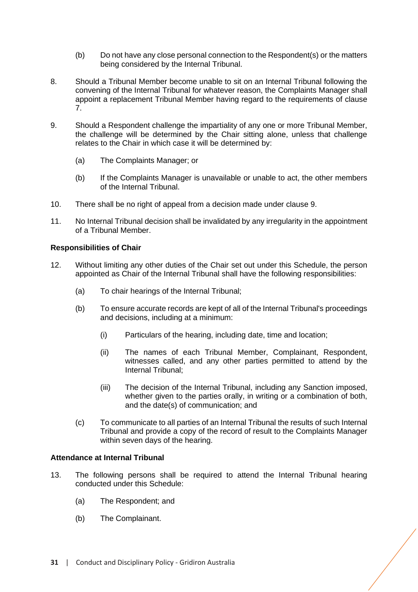- (b) Do not have any close personal connection to the Respondent(s) or the matters being considered by the Internal Tribunal.
- 8. Should a Tribunal Member become unable to sit on an Internal Tribunal following the convening of the Internal Tribunal for whatever reason, the Complaints Manager shall appoint a replacement Tribunal Member having regard to the requirements of clause 7.
- 9. Should a Respondent challenge the impartiality of any one or more Tribunal Member, the challenge will be determined by the Chair sitting alone, unless that challenge relates to the Chair in which case it will be determined by:
	- (a) The Complaints Manager; or
	- (b) If the Complaints Manager is unavailable or unable to act, the other members of the Internal Tribunal.
- 10. There shall be no right of appeal from a decision made under clause 9.
- 11. No Internal Tribunal decision shall be invalidated by any irregularity in the appointment of a Tribunal Member.

#### **Responsibilities of Chair**

- 12. Without limiting any other duties of the Chair set out under this Schedule, the person appointed as Chair of the Internal Tribunal shall have the following responsibilities:
	- (a) To chair hearings of the Internal Tribunal;
	- (b) To ensure accurate records are kept of all of the Internal Tribunal's proceedings and decisions, including at a minimum:
		- (i) Particulars of the hearing, including date, time and location;
		- (ii) The names of each Tribunal Member, Complainant, Respondent, witnesses called, and any other parties permitted to attend by the Internal Tribunal;
		- (iii) The decision of the Internal Tribunal, including any Sanction imposed, whether given to the parties orally, in writing or a combination of both, and the date(s) of communication; and
	- (c) To communicate to all parties of an Internal Tribunal the results of such Internal Tribunal and provide a copy of the record of result to the Complaints Manager within seven days of the hearing.

#### **Attendance at Internal Tribunal**

- 13. The following persons shall be required to attend the Internal Tribunal hearing conducted under this Schedule:
	- (a) The Respondent; and
	- (b) The Complainant.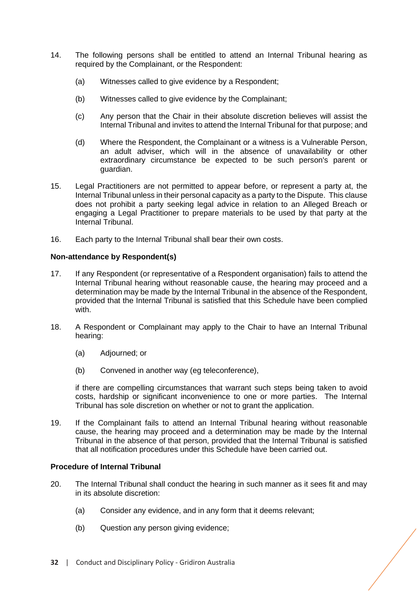- 14. The following persons shall be entitled to attend an Internal Tribunal hearing as required by the Complainant, or the Respondent:
	- (a) Witnesses called to give evidence by a Respondent;
	- (b) Witnesses called to give evidence by the Complainant;
	- (c) Any person that the Chair in their absolute discretion believes will assist the Internal Tribunal and invites to attend the Internal Tribunal for that purpose; and
	- (d) Where the Respondent, the Complainant or a witness is a Vulnerable Person, an adult adviser, which will in the absence of unavailability or other extraordinary circumstance be expected to be such person's parent or guardian.
- 15. Legal Practitioners are not permitted to appear before, or represent a party at, the Internal Tribunal unless in their personal capacity as a party to the Dispute. This clause does not prohibit a party seeking legal advice in relation to an Alleged Breach or engaging a Legal Practitioner to prepare materials to be used by that party at the Internal Tribunal.
- 16. Each party to the Internal Tribunal shall bear their own costs.

#### **Non-attendance by Respondent(s)**

- 17. If any Respondent (or representative of a Respondent organisation) fails to attend the Internal Tribunal hearing without reasonable cause, the hearing may proceed and a determination may be made by the Internal Tribunal in the absence of the Respondent, provided that the Internal Tribunal is satisfied that this Schedule have been complied with.
- 18. A Respondent or Complainant may apply to the Chair to have an Internal Tribunal hearing:
	- (a) Adjourned; or
	- (b) Convened in another way (eg teleconference),

if there are compelling circumstances that warrant such steps being taken to avoid costs, hardship or significant inconvenience to one or more parties. The Internal Tribunal has sole discretion on whether or not to grant the application.

19. If the Complainant fails to attend an Internal Tribunal hearing without reasonable cause, the hearing may proceed and a determination may be made by the Internal Tribunal in the absence of that person, provided that the Internal Tribunal is satisfied that all notification procedures under this Schedule have been carried out.

# **Procedure of Internal Tribunal**

- 20. The Internal Tribunal shall conduct the hearing in such manner as it sees fit and may in its absolute discretion:
	- (a) Consider any evidence, and in any form that it deems relevant;
	- (b) Question any person giving evidence;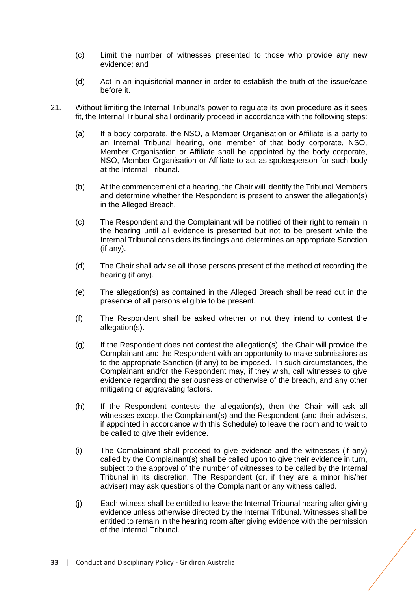- (c) Limit the number of witnesses presented to those who provide any new evidence; and
- (d) Act in an inquisitorial manner in order to establish the truth of the issue/case before it.
- 21. Without limiting the Internal Tribunal's power to regulate its own procedure as it sees fit, the Internal Tribunal shall ordinarily proceed in accordance with the following steps:
	- (a) If a body corporate, the NSO, a Member Organisation or Affiliate is a party to an Internal Tribunal hearing, one member of that body corporate, NSO, Member Organisation or Affiliate shall be appointed by the body corporate, NSO, Member Organisation or Affiliate to act as spokesperson for such body at the Internal Tribunal.
	- (b) At the commencement of a hearing, the Chair will identify the Tribunal Members and determine whether the Respondent is present to answer the allegation(s) in the Alleged Breach.
	- (c) The Respondent and the Complainant will be notified of their right to remain in the hearing until all evidence is presented but not to be present while the Internal Tribunal considers its findings and determines an appropriate Sanction (if any).
	- (d) The Chair shall advise all those persons present of the method of recording the hearing (if any).
	- (e) The allegation(s) as contained in the Alleged Breach shall be read out in the presence of all persons eligible to be present.
	- (f) The Respondent shall be asked whether or not they intend to contest the allegation(s).
	- (g) If the Respondent does not contest the allegation(s), the Chair will provide the Complainant and the Respondent with an opportunity to make submissions as to the appropriate Sanction (if any) to be imposed. In such circumstances, the Complainant and/or the Respondent may, if they wish, call witnesses to give evidence regarding the seriousness or otherwise of the breach, and any other mitigating or aggravating factors.
	- (h) If the Respondent contests the allegation(s), then the Chair will ask all witnesses except the Complainant(s) and the Respondent (and their advisers, if appointed in accordance with this Schedule) to leave the room and to wait to be called to give their evidence.
	- (i) The Complainant shall proceed to give evidence and the witnesses (if any) called by the Complainant(s) shall be called upon to give their evidence in turn, subject to the approval of the number of witnesses to be called by the Internal Tribunal in its discretion. The Respondent (or, if they are a minor his/her adviser) may ask questions of the Complainant or any witness called.
	- (j) Each witness shall be entitled to leave the Internal Tribunal hearing after giving evidence unless otherwise directed by the Internal Tribunal. Witnesses shall be entitled to remain in the hearing room after giving evidence with the permission of the Internal Tribunal.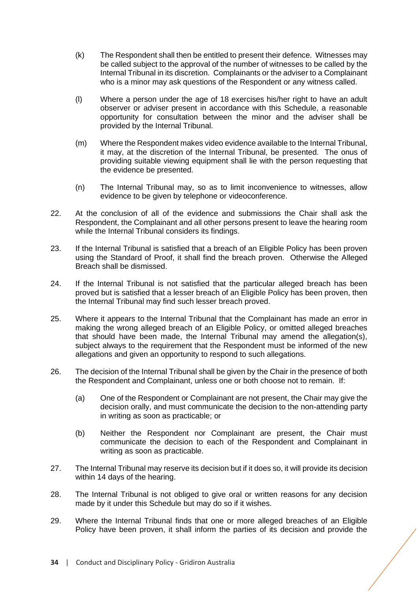- (k) The Respondent shall then be entitled to present their defence. Witnesses may be called subject to the approval of the number of witnesses to be called by the Internal Tribunal in its discretion. Complainants or the adviser to a Complainant who is a minor may ask questions of the Respondent or any witness called.
- (l) Where a person under the age of 18 exercises his/her right to have an adult observer or adviser present in accordance with this Schedule, a reasonable opportunity for consultation between the minor and the adviser shall be provided by the Internal Tribunal.
- (m) Where the Respondent makes video evidence available to the Internal Tribunal, it may, at the discretion of the Internal Tribunal, be presented. The onus of providing suitable viewing equipment shall lie with the person requesting that the evidence be presented.
- (n) The Internal Tribunal may, so as to limit inconvenience to witnesses, allow evidence to be given by telephone or videoconference.
- 22. At the conclusion of all of the evidence and submissions the Chair shall ask the Respondent, the Complainant and all other persons present to leave the hearing room while the Internal Tribunal considers its findings.
- 23. If the Internal Tribunal is satisfied that a breach of an Eligible Policy has been proven using the Standard of Proof, it shall find the breach proven. Otherwise the Alleged Breach shall be dismissed.
- 24. If the Internal Tribunal is not satisfied that the particular alleged breach has been proved but is satisfied that a lesser breach of an Eligible Policy has been proven, then the Internal Tribunal may find such lesser breach proved.
- 25. Where it appears to the Internal Tribunal that the Complainant has made an error in making the wrong alleged breach of an Eligible Policy, or omitted alleged breaches that should have been made, the Internal Tribunal may amend the allegation(s), subject always to the requirement that the Respondent must be informed of the new allegations and given an opportunity to respond to such allegations.
- 26. The decision of the Internal Tribunal shall be given by the Chair in the presence of both the Respondent and Complainant, unless one or both choose not to remain. If:
	- (a) One of the Respondent or Complainant are not present, the Chair may give the decision orally, and must communicate the decision to the non-attending party in writing as soon as practicable; or
	- (b) Neither the Respondent nor Complainant are present, the Chair must communicate the decision to each of the Respondent and Complainant in writing as soon as practicable.
- 27. The Internal Tribunal may reserve its decision but if it does so, it will provide its decision within 14 days of the hearing.
- 28. The Internal Tribunal is not obliged to give oral or written reasons for any decision made by it under this Schedule but may do so if it wishes.
- 29. Where the Internal Tribunal finds that one or more alleged breaches of an Eligible Policy have been proven, it shall inform the parties of its decision and provide the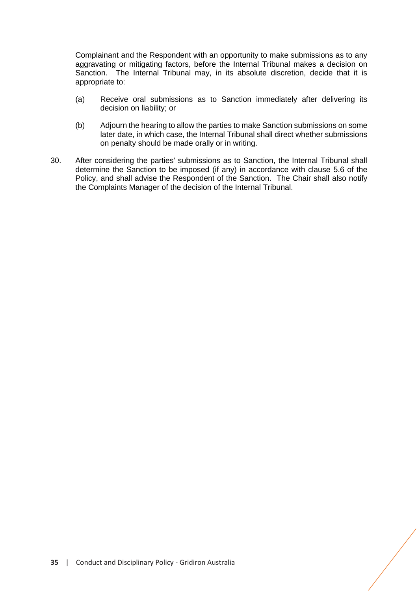Complainant and the Respondent with an opportunity to make submissions as to any aggravating or mitigating factors, before the Internal Tribunal makes a decision on Sanction. The Internal Tribunal may, in its absolute discretion, decide that it is appropriate to:

- (a) Receive oral submissions as to Sanction immediately after delivering its decision on liability; or
- (b) Adjourn the hearing to allow the parties to make Sanction submissions on some later date, in which case, the Internal Tribunal shall direct whether submissions on penalty should be made orally or in writing.
- 30. After considering the parties' submissions as to Sanction, the Internal Tribunal shall determine the Sanction to be imposed (if any) in accordance with clause [5.6](#page-16-0) of the Policy, and shall advise the Respondent of the Sanction. The Chair shall also notify the Complaints Manager of the decision of the Internal Tribunal.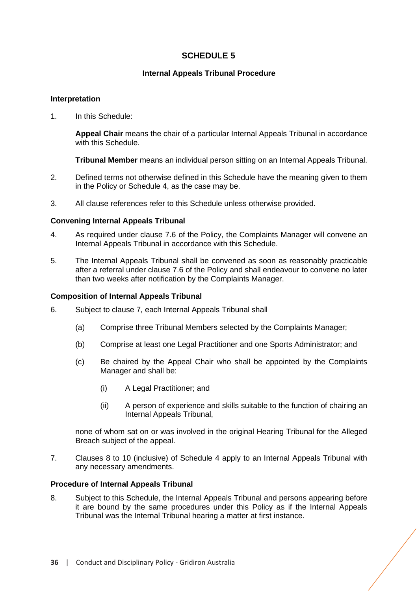# **SCHEDULE 5**

# **Internal Appeals Tribunal Procedure**

#### <span id="page-35-0"></span>**Interpretation**

1. In this Schedule:

**Appeal Chair** means the chair of a particular Internal Appeals Tribunal in accordance with this Schedule.

**Tribunal Member** means an individual person sitting on an Internal Appeals Tribunal.

- 2. Defined terms not otherwise defined in this Schedule have the meaning given to them in the Policy or Schedule 4, as the case may be.
- 3. All clause references refer to this Schedule unless otherwise provided.

#### **Convening Internal Appeals Tribunal**

- 4. As required under clause [7.6](#page-20-2) of the Policy, the Complaints Manager will convene an Internal Appeals Tribunal in accordance with this Schedule.
- 5. The Internal Appeals Tribunal shall be convened as soon as reasonably practicable after a referral under clause [7.6](#page-20-2) of the Policy and shall endeavour to convene no later than two weeks after notification by the Complaints Manager.

#### **Composition of Internal Appeals Tribunal**

- 6. Subject to clause 7, each Internal Appeals Tribunal shall
	- (a) Comprise three Tribunal Members selected by the Complaints Manager;
	- (b) Comprise at least one Legal Practitioner and one Sports Administrator; and
	- (c) Be chaired by the Appeal Chair who shall be appointed by the Complaints Manager and shall be:
		- (i) A Legal Practitioner; and
		- (ii) A person of experience and skills suitable to the function of chairing an Internal Appeals Tribunal,

none of whom sat on or was involved in the original Hearing Tribunal for the Alleged Breach subject of the appeal.

7. Clauses 8 to 10 (inclusive) of Schedule 4 apply to an Internal Appeals Tribunal with any necessary amendments.

#### **Procedure of Internal Appeals Tribunal**

8. Subject to this Schedule, the Internal Appeals Tribunal and persons appearing before it are bound by the same procedures under this Policy as if the Internal Appeals Tribunal was the Internal Tribunal hearing a matter at first instance.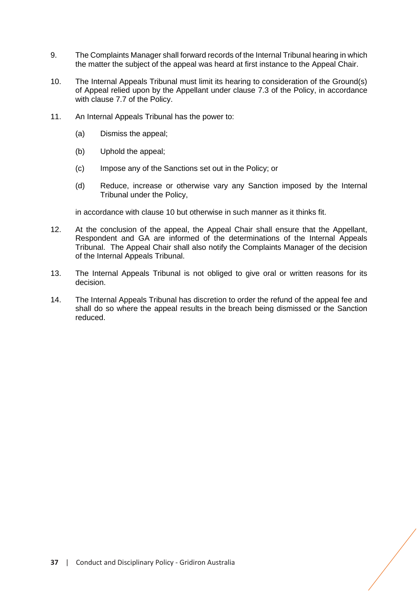- 9. The Complaints Manager shall forward records of the Internal Tribunal hearing in which the matter the subject of the appeal was heard at first instance to the Appeal Chair.
- 10. The Internal Appeals Tribunal must limit its hearing to consideration of the Ground(s) of Appeal relied upon by the Appellant under clause [7.3](#page-18-3) of the Policy, in accordance with clause [7.7](#page-20-1) of the Policy.
- 11. An Internal Appeals Tribunal has the power to:
	- (a) Dismiss the appeal;
	- (b) Uphold the appeal;
	- (c) Impose any of the Sanctions set out in the Policy; or
	- (d) Reduce, increase or otherwise vary any Sanction imposed by the Internal Tribunal under the Policy,

in accordance with clause 10 but otherwise in such manner as it thinks fit.

- 12. At the conclusion of the appeal, the Appeal Chair shall ensure that the Appellant, Respondent and GA are informed of the determinations of the Internal Appeals Tribunal. The Appeal Chair shall also notify the Complaints Manager of the decision of the Internal Appeals Tribunal.
- 13. The Internal Appeals Tribunal is not obliged to give oral or written reasons for its decision.
- 14. The Internal Appeals Tribunal has discretion to order the refund of the appeal fee and shall do so where the appeal results in the breach being dismissed or the Sanction reduced.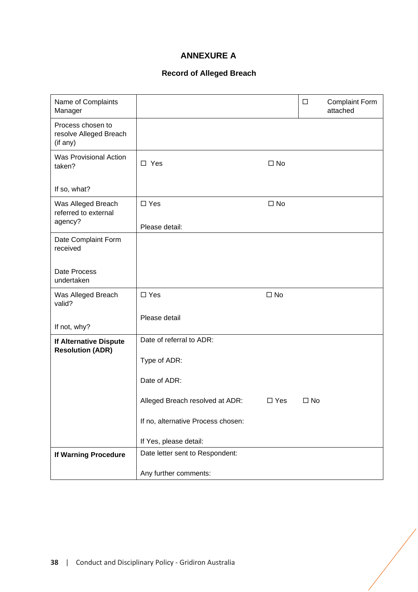# **ANNEXURE A**

# **Record of Alleged Breach**

<span id="page-37-0"></span>

| Name of Complaints<br>Manager                           |                                    |              | $\Box$       | <b>Complaint Form</b><br>attached |
|---------------------------------------------------------|------------------------------------|--------------|--------------|-----------------------------------|
| Process chosen to<br>resolve Alleged Breach<br>(if any) |                                    |              |              |                                   |
| <b>Was Provisional Action</b><br>taken?                 | $\square$ Yes                      | $\square$ No |              |                                   |
| If so, what?                                            |                                    |              |              |                                   |
| Was Alleged Breach<br>referred to external<br>agency?   | $\square$ Yes                      | $\square$ No |              |                                   |
|                                                         | Please detail:                     |              |              |                                   |
| Date Complaint Form<br>received                         |                                    |              |              |                                   |
| Date Process<br>undertaken                              |                                    |              |              |                                   |
| Was Alleged Breach<br>valid?                            | $\square$ Yes                      | $\square$ No |              |                                   |
| If not, why?                                            | Please detail                      |              |              |                                   |
| If Alternative Dispute<br><b>Resolution (ADR)</b>       | Date of referral to ADR:           |              |              |                                   |
|                                                         | Type of ADR:                       |              |              |                                   |
|                                                         | Date of ADR:                       |              |              |                                   |
|                                                         | Alleged Breach resolved at ADR:    | $\Box$ Yes   | $\square$ No |                                   |
|                                                         | If no, alternative Process chosen: |              |              |                                   |
|                                                         | If Yes, please detail:             |              |              |                                   |
| If Warning Procedure                                    | Date letter sent to Respondent:    |              |              |                                   |
|                                                         | Any further comments:              |              |              |                                   |